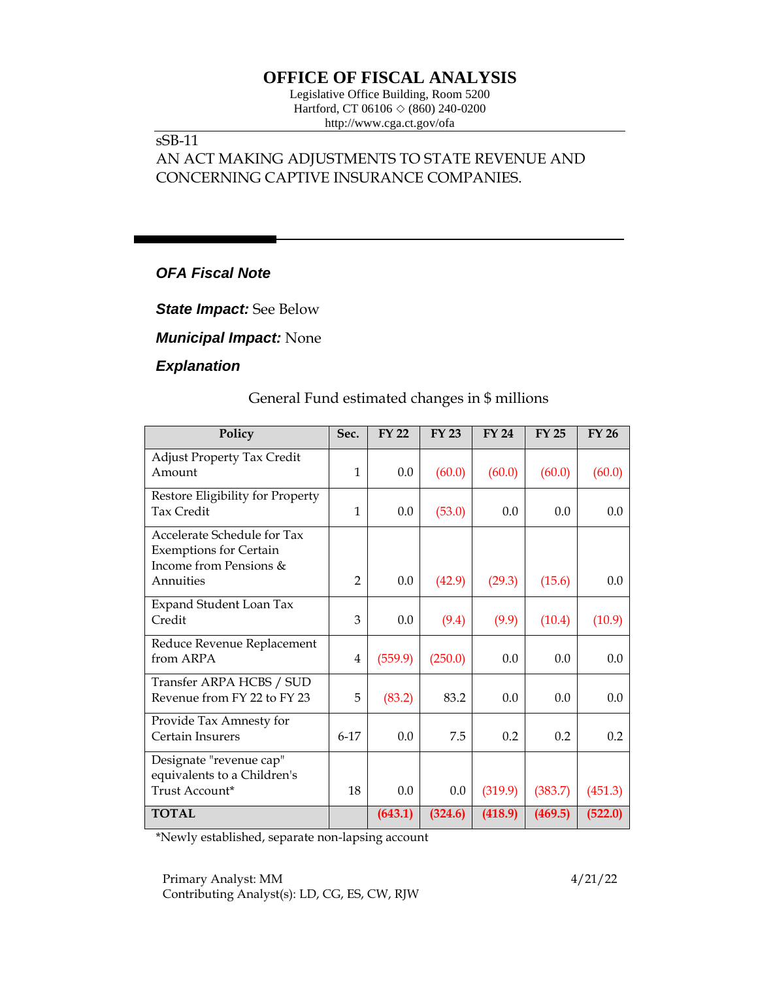# **OFFICE OF FISCAL ANALYSIS**

Legislative Office Building, Room 5200 Hartford, CT 06106  $\Diamond$  (860) 240-0200 http://www.cga.ct.gov/ofa

#### sSB-11

# AN ACT MAKING ADJUSTMENTS TO STATE REVENUE AND CONCERNING CAPTIVE INSURANCE COMPANIES.

## *OFA Fiscal Note*

*State Impact:* See Below

*Municipal Impact:* None

#### *Explanation*

### General Fund estimated changes in \$ millions

| Policy                                                                                              | Sec.           | <b>FY 22</b> | <b>FY 23</b> | <b>FY 24</b> | <b>FY 25</b> | <b>FY 26</b> |
|-----------------------------------------------------------------------------------------------------|----------------|--------------|--------------|--------------|--------------|--------------|
| <b>Adjust Property Tax Credit</b><br>Amount                                                         | $\mathbf{1}$   | 0.0          | (60.0)       | (60.0)       | (60.0)       | (60.0)       |
| Restore Eligibility for Property<br><b>Tax Credit</b>                                               | $\mathbf{1}$   | 0.0          | (53.0)       | 0.0          | 0.0          | 0.0          |
| Accelerate Schedule for Tax<br><b>Exemptions for Certain</b><br>Income from Pensions &<br>Annuities | $\overline{2}$ | 0.0          | (42.9)       | (29.3)       | (15.6)       | 0.0          |
| <b>Expand Student Loan Tax</b><br>Credit                                                            | 3              | 0.0          | (9.4)        | (9.9)        | (10.4)       | (10.9)       |
| Reduce Revenue Replacement<br>from ARPA                                                             | 4              | (559.9)      | (250.0)      | 0.0          | 0.0          | 0.0          |
| Transfer ARPA HCBS / SUD<br>Revenue from FY 22 to FY 23                                             | 5              | (83.2)       | 83.2         | 0.0          | 0.0          | 0.0          |
| Provide Tax Amnesty for<br>Certain Insurers                                                         | $6 - 17$       | 0.0          | 7.5          | 0.2          | 0.2          | 0.2          |
| Designate "revenue cap"<br>equivalents to a Children's<br>Trust Account*                            | 18             | 0.0          | 0.0          | (319.9)      | (383.7)      | (451.3)      |
| <b>TOTAL</b>                                                                                        |                | (643.1)      | (324.6)      | (418.9)      | (469.5)      | (522.0)      |

\*Newly established, separate non-lapsing account

Primary Analyst: MM 4/21/22 Contributing Analyst(s): LD, CG, ES, CW, RJW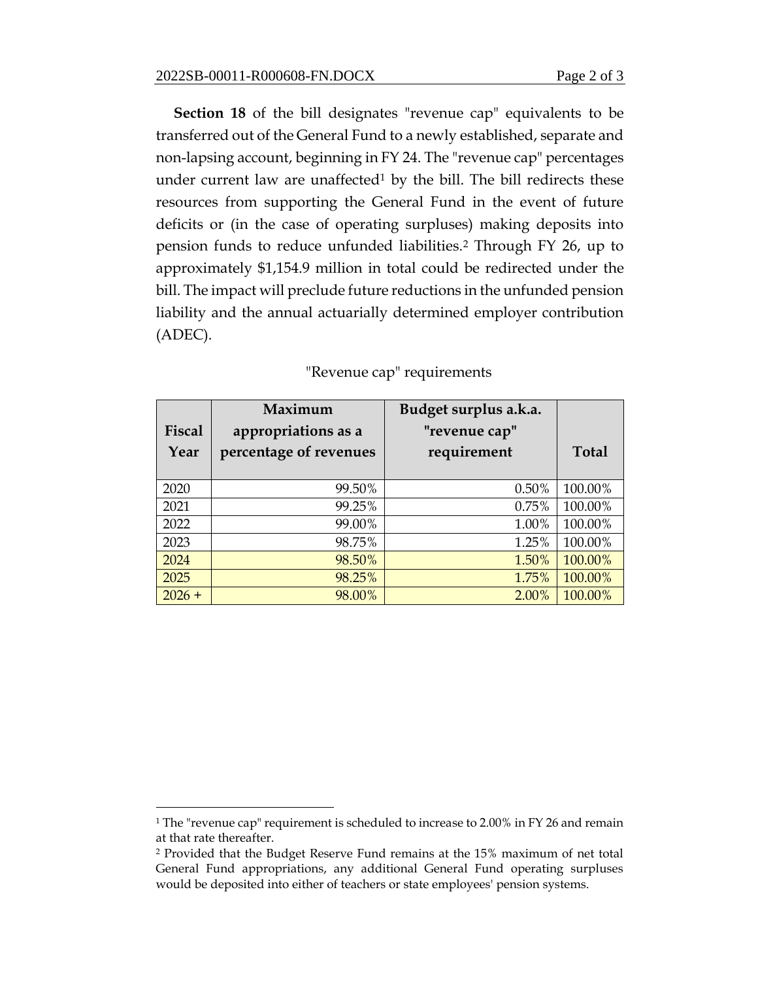**Section 18** of the bill designates "revenue cap" equivalents to be transferred out of the General Fund to a newly established, separate and non-lapsing account, beginning in FY 24. The "revenue cap" percentages under current law are unaffected<sup>1</sup> by the bill. The bill redirects these resources from supporting the General Fund in the event of future deficits or (in the case of operating surpluses) making deposits into pension funds to reduce unfunded liabilities.<sup>2</sup> Through FY 26, up to approximately \$1,154.9 million in total could be redirected under the bill. The impact will preclude future reductions in the unfunded pension liability and the annual actuarially determined employer contribution (ADEC).

| Fiscal<br>Year | Maximum<br>appropriations as a<br>percentage of revenues | Budget surplus a.k.a.<br>"revenue cap"<br>requirement | <b>Total</b> |
|----------------|----------------------------------------------------------|-------------------------------------------------------|--------------|
| 2020           | 99.50%                                                   | 0.50%                                                 | 100.00%      |
| 2021           | 99.25%                                                   | 0.75%                                                 | 100.00%      |
| 2022           | 99.00%                                                   | 1.00%                                                 | 100.00%      |
| 2023           | 98.75%                                                   | 1.25%                                                 | 100.00%      |
| 2024           | 98.50%                                                   | 1.50%                                                 | 100.00%      |
| 2025           | 98.25%                                                   | 1.75%                                                 | 100.00%      |
| $2026 +$       | 98.00%                                                   | 2.00%                                                 | 100.00%      |

| "Revenue cap" requirements |  |
|----------------------------|--|
|----------------------------|--|

<sup>1</sup> The "revenue cap" requirement is scheduled to increase to 2.00% in FY 26 and remain at that rate thereafter.

<sup>2</sup> Provided that the Budget Reserve Fund remains at the 15% maximum of net total General Fund appropriations, any additional General Fund operating surpluses would be deposited into either of teachers or state employees' pension systems.